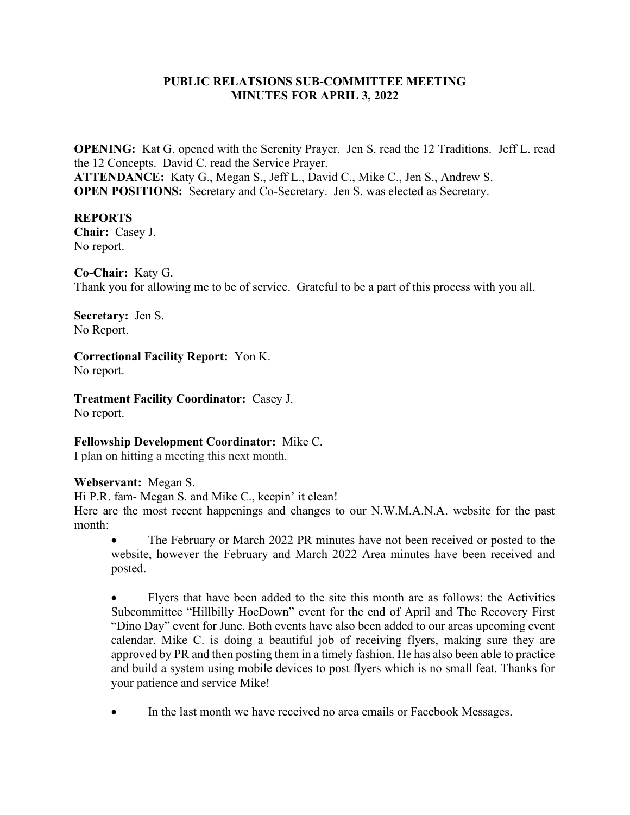### PUBLIC RELATSIONS SUB-COMMITTEE MEETING MINUTES FOR APRIL 3, 2022

OPENING: Kat G. opened with the Serenity Prayer. Jen S. read the 12 Traditions. Jeff L. read the 12 Concepts. David C. read the Service Prayer. ATTENDANCE: Katy G., Megan S., Jeff L., David C., Mike C., Jen S., Andrew S. OPEN POSITIONS: Secretary and Co-Secretary. Jen S. was elected as Secretary.

#### REPORTS

Chair: Casey J. No report.

Co-Chair: Katy G. Thank you for allowing me to be of service. Grateful to be a part of this process with you all.

Secretary: Jen S. No Report.

Correctional Facility Report: Yon K. No report.

Treatment Facility Coordinator: Casey J. No report.

Fellowship Development Coordinator: Mike C.

I plan on hitting a meeting this next month.

Webservant: Megan S.

Hi P.R. fam- Megan S. and Mike C., keepin' it clean!

Here are the most recent happenings and changes to our N.W.M.A.N.A. website for the past month:

 The February or March 2022 PR minutes have not been received or posted to the website, however the February and March 2022 Area minutes have been received and posted.

 Flyers that have been added to the site this month are as follows: the Activities Subcommittee "Hillbilly HoeDown" event for the end of April and The Recovery First "Dino Day" event for June. Both events have also been added to our areas upcoming event calendar. Mike C. is doing a beautiful job of receiving flyers, making sure they are approved by PR and then posting them in a timely fashion. He has also been able to practice and build a system using mobile devices to post flyers which is no small feat. Thanks for your patience and service Mike!

In the last month we have received no area emails or Facebook Messages.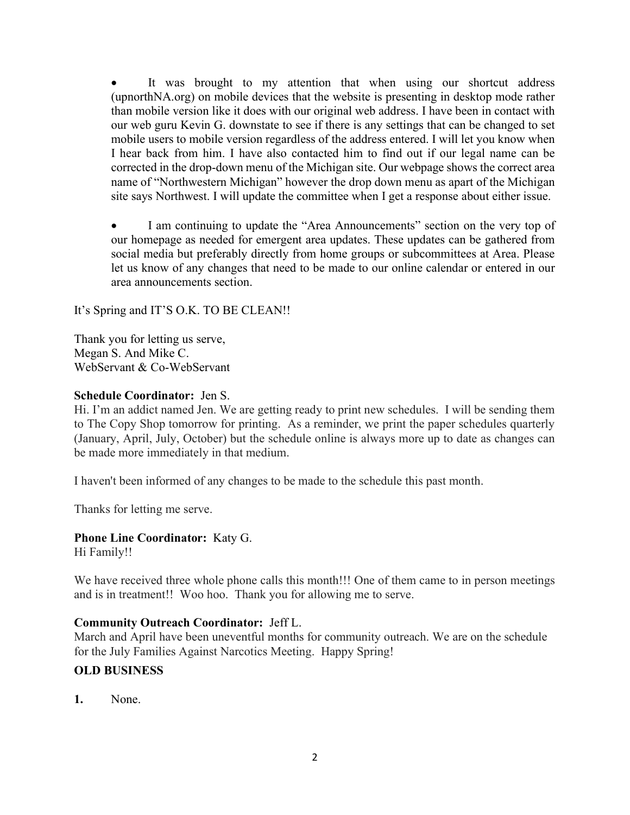It was brought to my attention that when using our shortcut address (upnorthNA.org) on mobile devices that the website is presenting in desktop mode rather than mobile version like it does with our original web address. I have been in contact with our web guru Kevin G. downstate to see if there is any settings that can be changed to set mobile users to mobile version regardless of the address entered. I will let you know when I hear back from him. I have also contacted him to find out if our legal name can be corrected in the drop-down menu of the Michigan site. Our webpage shows the correct area name of "Northwestern Michigan" however the drop down menu as apart of the Michigan site says Northwest. I will update the committee when I get a response about either issue.

 I am continuing to update the "Area Announcements" section on the very top of our homepage as needed for emergent area updates. These updates can be gathered from social media but preferably directly from home groups or subcommittees at Area. Please let us know of any changes that need to be made to our online calendar or entered in our area announcements section.

It's Spring and IT'S O.K. TO BE CLEAN!!

Thank you for letting us serve, Megan S. And Mike C. WebServant & Co-WebServant

## Schedule Coordinator: Jen S.

Hi. I'm an addict named Jen. We are getting ready to print new schedules. I will be sending them to The Copy Shop tomorrow for printing. As a reminder, we print the paper schedules quarterly (January, April, July, October) but the schedule online is always more up to date as changes can be made more immediately in that medium.

I haven't been informed of any changes to be made to the schedule this past month.

Thanks for letting me serve.

# Phone Line Coordinator: Katy G.

Hi Family!!

We have received three whole phone calls this month!!! One of them came to in person meetings and is in treatment!! Woo hoo. Thank you for allowing me to serve.

### Community Outreach Coordinator: Jeff L.

March and April have been uneventful months for community outreach. We are on the schedule for the July Families Against Narcotics Meeting. Happy Spring!

# OLD BUSINESS

1. None.